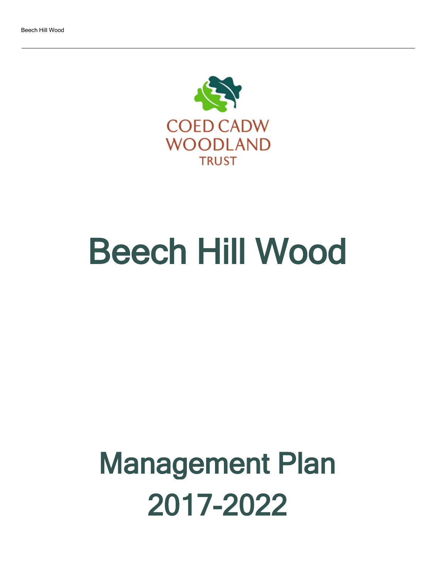

# Beech Hill Wood

# Management Plan 2017-2022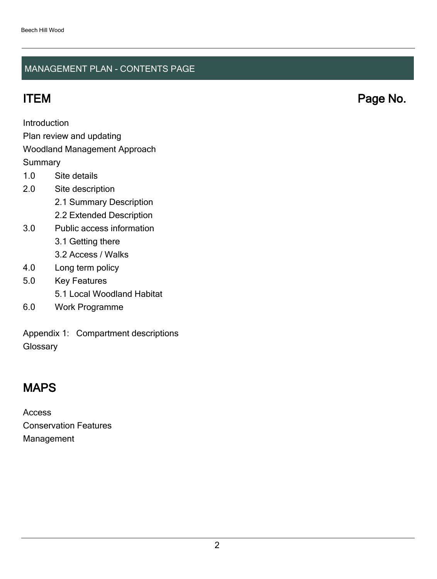# MANAGEMENT PLAN - CONTENTS PAGE

# ITEM Page No.

**Introduction** 

Plan review and updating

# Woodland Management Approach

**Summary** 

- 1.0 Site details
- 2.0 Site description
	- 2.1 Summary Description
	- 2.2 Extended Description
- 3.0 Public access information
	- 3.1 Getting there
	- 3.2 Access / Walks
- 4.0 Long term policy
- 5.0 Key Features
	- 5.1 Local Woodland Habitat
- 6.0 Work Programme

Appendix 1: Compartment descriptions **Glossary** 

# MAPS

Access Conservation Features Management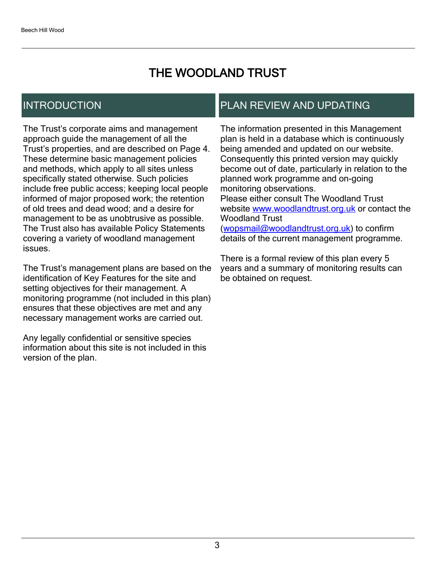# THE WOODLAND TRUST

# INTRODUCTION

The Trust's corporate aims and management approach guide the management of all the Trust's properties, and are described on Page 4. These determine basic management policies and methods, which apply to all sites unless specifically stated otherwise. Such policies include free public access; keeping local people informed of major proposed work; the retention of old trees and dead wood; and a desire for management to be as unobtrusive as possible. The Trust also has available Policy Statements covering a variety of woodland management issues.

The Trust's management plans are based on the identification of Key Features for the site and setting objectives for their management. A monitoring programme (not included in this plan) ensures that these objectives are met and any necessary management works are carried out.

Any legally confidential or sensitive species information about this site is not included in this version of the plan.

# PLAN REVIEW AND UPDATING

The information presented in this Management plan is held in a database which is continuously being amended and updated on our website. Consequently this printed version may quickly become out of date, particularly in relation to the planned work programme and on-going monitoring observations. Please either consult The Woodland Trust website [www.woodlandtrust.org.uk](http://www.woodlandtrust.org.uk/) or contact the Woodland Trust [\(wopsmail@woodlandtrust.org.uk](mailto:wopsmail@woodlandtrust.org.uk)) to confirm

details of the current management programme.

There is a formal review of this plan every 5 years and a summary of monitoring results can be obtained on request.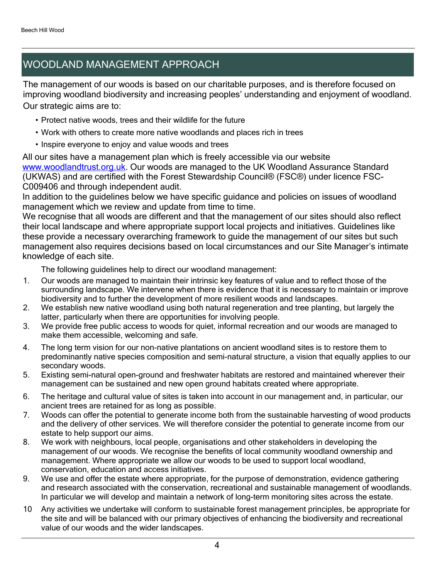# WOODLAND MANAGEMENT APPROACH

The management of our woods is based on our charitable purposes, and is therefore focused on improving woodland biodiversity and increasing peoples' understanding and enjoyment of woodland. Our strategic aims are to:

- Protect native woods, trees and their wildlife for the future
- Work with others to create more native woodlands and places rich in trees
- $\cdot$  Inspire everyone to enjoy and value woods and trees

All our sites have a management plan which is freely accessible via our website [www.woodlandtrust.org.uk.](http://www.woodlandtrust.org.uk/) Our woods are managed to the UK Woodland Assurance Standard (UKWAS) and are certified with the Forest Stewardship Council® (FSC®) under licence FSC-C009406 and through independent audit.

In addition to the guidelines below we have specific guidance and policies on issues of woodland management which we review and update from time to time.

We recognise that all woods are different and that the management of our sites should also reflect their local landscape and where appropriate support local projects and initiatives. Guidelines like these provide a necessary overarching framework to guide the management of our sites but such management also requires decisions based on local circumstances and our Site Manager's intimate knowledge of each site.

The following guidelines help to direct our woodland management:

- 1. Our woods are managed to maintain their intrinsic key features of value and to reflect those of the surrounding landscape. We intervene when there is evidence that it is necessary to maintain or improve biodiversity and to further the development of more resilient woods and landscapes.
- 2. We establish new native woodland using both natural regeneration and tree planting, but largely the latter, particularly when there are opportunities for involving people.
- 3. We provide free public access to woods for quiet, informal recreation and our woods are managed to make them accessible, welcoming and safe.
- 4. The long term vision for our non-native plantations on ancient woodland sites is to restore them to predominantly native species composition and semi-natural structure, a vision that equally applies to our secondary woods.
- 5. Existing semi-natural open-ground and freshwater habitats are restored and maintained wherever their management can be sustained and new open ground habitats created where appropriate.
- 6. The heritage and cultural value of sites is taken into account in our management and, in particular, our ancient trees are retained for as long as possible.
- 7. Woods can offer the potential to generate income both from the sustainable harvesting of wood products and the delivery of other services. We will therefore consider the potential to generate income from our estate to help support our aims.
- 8. We work with neighbours, local people, organisations and other stakeholders in developing the management of our woods. We recognise the benefits of local community woodland ownership and management. Where appropriate we allow our woods to be used to support local woodland, conservation, education and access initiatives.
- 9. We use and offer the estate where appropriate, for the purpose of demonstration, evidence gathering and research associated with the conservation, recreational and sustainable management of woodlands. In particular we will develop and maintain a network of long-term monitoring sites across the estate.
- 10 Any activities we undertake will conform to sustainable forest management principles, be appropriate for the site and will be balanced with our primary objectives of enhancing the biodiversity and recreational value of our woods and the wider landscapes.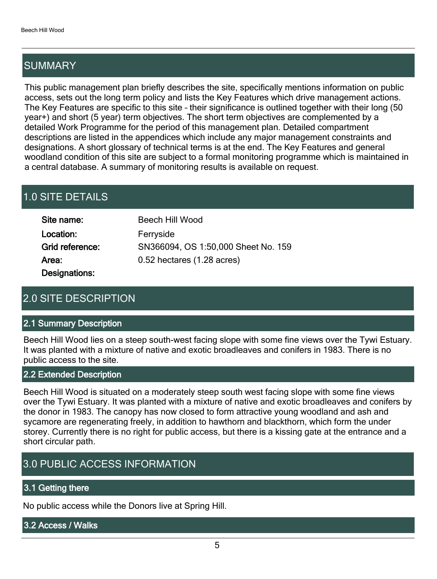# SUMMARY

This public management plan briefly describes the site, specifically mentions information on public access, sets out the long term policy and lists the Key Features which drive management actions. The Key Features are specific to this site - their significance is outlined together with their long (50 year+) and short (5 year) term objectives. The short term objectives are complemented by a detailed Work Programme for the period of this management plan. Detailed compartment descriptions are listed in the appendices which include any major management constraints and designations. A short glossary of technical terms is at the end. The Key Features and general woodland condition of this site are subject to a formal monitoring programme which is maintained in a central database. A summary of monitoring results is available on request.

# 1.0 SITE DETAILS

| Site name:      | Beech Hill Wood                     |
|-----------------|-------------------------------------|
| Location:       | Ferryside                           |
| Grid reference: | SN366094, OS 1:50,000 Sheet No. 159 |
| Area:           | 0.52 hectares (1.28 acres)          |
| Designations:   |                                     |

# 2.0 SITE DESCRIPTION

## 2.1 Summary Description

Beech Hill Wood lies on a steep south-west facing slope with some fine views over the Tywi Estuary. It was planted with a mixture of native and exotic broadleaves and conifers in 1983. There is no public access to the site.

## 2.2 Extended Description

Beech Hill Wood is situated on a moderately steep south west facing slope with some fine views over the Tywi Estuary. It was planted with a mixture of native and exotic broadleaves and conifers by the donor in 1983. The canopy has now closed to form attractive young woodland and ash and sycamore are regenerating freely, in addition to hawthorn and blackthorn, which form the under storey. Currently there is no right for public access, but there is a kissing gate at the entrance and a short circular path.

# 3.0 PUBLIC ACCESS INFORMATION

# 3.1 Getting there

No public access while the Donors live at Spring Hill.

## 3.2 Access / Walks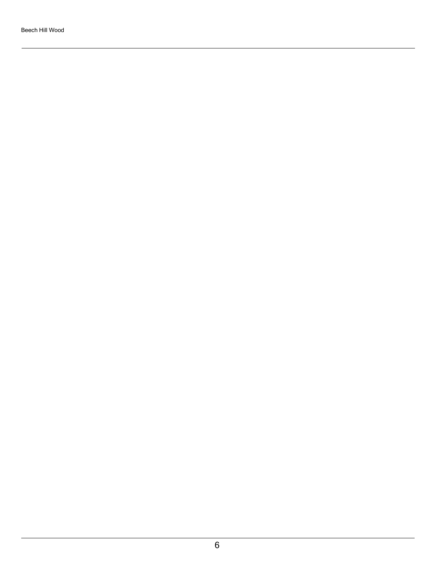Beech Hill Wood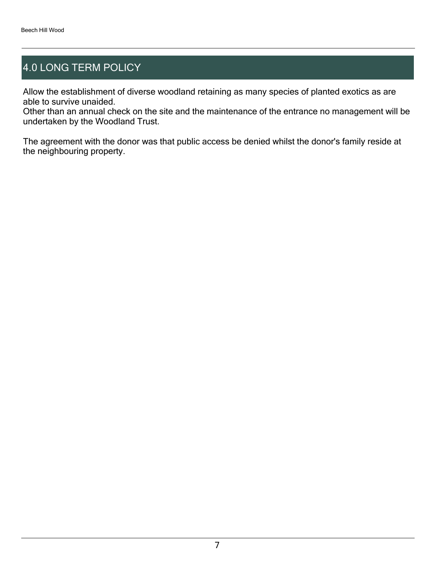# 4.0 LONG TERM POLICY

Allow the establishment of diverse woodland retaining as many species of planted exotics as are able to survive unaided.

Other than an annual check on the site and the maintenance of the entrance no management will be undertaken by the Woodland Trust.

The agreement with the donor was that public access be denied whilst the donor's family reside at the neighbouring property.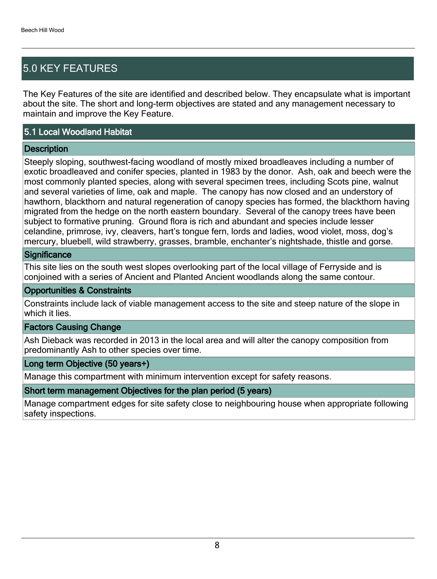# 5.0 KEY FEATURES

The Key Features of the site are identified and described below. They encapsulate what is important about the site. The short and long-term objectives are stated and any management necessary to maintain and improve the Key Feature.

# 5.1 Local Woodland Habitat

#### **Description**

Steeply sloping, southwest-facing woodland of mostly mixed broadleaves including a number of exotic broadleaved and conifer species, planted in 1983 by the donor. Ash, oak and beech were the most commonly planted species, along with several specimen trees, including Scots pine, walnut and several varieties of lime, oak and maple. The canopy has now closed and an understory of hawthorn, blackthorn and natural regeneration of canopy species has formed, the blackthorn having migrated from the hedge on the north eastern boundary. Several of the canopy trees have been subject to formative pruning. Ground flora is rich and abundant and species include lesser celandine, primrose, ivy, cleavers, hart's tongue fern, lords and ladies, wood violet, moss, dog's mercury, bluebell, wild strawberry, grasses, bramble, enchanter's nightshade, thistle and gorse.

#### **Significance**

This site lies on the south west slopes overlooking part of the local village of Ferryside and is conjoined with a series of Ancient and Planted Ancient woodlands along the same contour.

#### Opportunities & Constraints

Constraints include lack of viable management access to the site and steep nature of the slope in which it lies.

#### Factors Causing Change

Ash Dieback was recorded in 2013 in the local area and will alter the canopy composition from predominantly Ash to other species over time.

#### Long term Objective (50 years+)

Manage this compartment with minimum intervention except for safety reasons.

Short term management Objectives for the plan period (5 years)

Manage compartment edges for site safety close to neighbouring house when appropriate following safety inspections.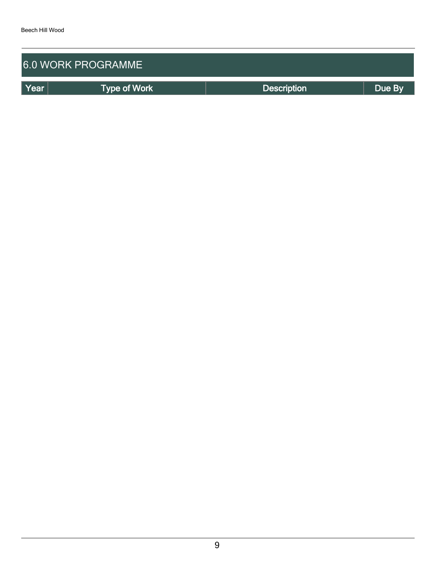| <b>6.0 WORK PROGRAMME</b> |                     |                    |        |  |  |  |  |  |  |
|---------------------------|---------------------|--------------------|--------|--|--|--|--|--|--|
| Year                      | <b>Type of Work</b> | <b>Description</b> | Due By |  |  |  |  |  |  |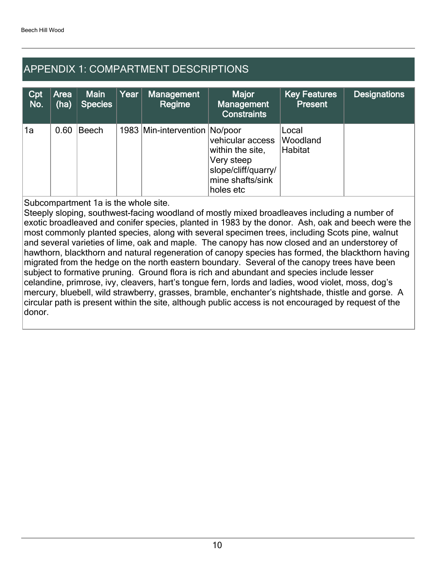# APPENDIX 1: COMPARTMENT DESCRIPTIONS

| Cpt<br>No. | Area<br>(ha) | <b>Main</b><br><b>Species</b> | <b>Year</b> | <b>Management</b><br>Regime   | Major<br>Management<br><b>Constraints</b>                                                                  | <b>Key Features</b><br><b>Present</b> | <b>Designations</b> |
|------------|--------------|-------------------------------|-------------|-------------------------------|------------------------------------------------------------------------------------------------------------|---------------------------------------|---------------------|
| 1a         | 0.60         | <b>Beech</b>                  |             | 1983 Min-intervention No/poor | vehicular access<br>within the site,<br>Very steep<br>slope/cliff/quarry/<br>mine shafts/sink<br>holes etc | Local<br>Woodland<br>Habitat          |                     |

Subcompartment 1a is the whole site.

Steeply sloping, southwest-facing woodland of mostly mixed broadleaves including a number of exotic broadleaved and conifer species, planted in 1983 by the donor. Ash, oak and beech were the most commonly planted species, along with several specimen trees, including Scots pine, walnut and several varieties of lime, oak and maple. The canopy has now closed and an understorey of hawthorn, blackthorn and natural regeneration of canopy species has formed, the blackthorn having migrated from the hedge on the north eastern boundary. Several of the canopy trees have been subject to formative pruning. Ground flora is rich and abundant and species include lesser celandine, primrose, ivy, cleavers, hart's tongue fern, lords and ladies, wood violet, moss, dog's mercury, bluebell, wild strawberry, grasses, bramble, enchanter's nightshade, thistle and gorse. A circular path is present within the site, although public access is not encouraged by request of the donor.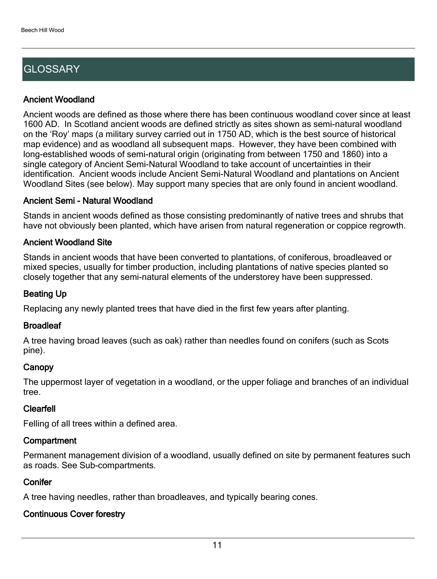# **GLOSSARY**

## Ancient Woodland

Ancient woods are defined as those where there has been continuous woodland cover since at least 1600 AD. In Scotland ancient woods are defined strictly as sites shown as semi-natural woodland on the 'Roy' maps (a military survey carried out in 1750 AD, which is the best source of historical map evidence) and as woodland all subsequent maps. However, they have been combined with long-established woods of semi-natural origin (originating from between 1750 and 1860) into a single category of Ancient Semi-Natural Woodland to take account of uncertainties in their identification. Ancient woods include Ancient Semi-Natural Woodland and plantations on Ancient Woodland Sites (see below). May support many species that are only found in ancient woodland.

## Ancient Semi - Natural Woodland

Stands in ancient woods defined as those consisting predominantly of native trees and shrubs that have not obviously been planted, which have arisen from natural regeneration or coppice regrowth.

# Ancient Woodland Site

Stands in ancient woods that have been converted to plantations, of coniferous, broadleaved or mixed species, usually for timber production, including plantations of native species planted so closely together that any semi-natural elements of the understorey have been suppressed.

# Beating Up

Replacing any newly planted trees that have died in the first few years after planting.

## **Broadleaf**

A tree having broad leaves (such as oak) rather than needles found on conifers (such as Scots pine).

# **Canopy**

The uppermost layer of vegetation in a woodland, or the upper foliage and branches of an individual tree.

## Clearfell

Felling of all trees within a defined area.

## **Compartment**

Permanent management division of a woodland, usually defined on site by permanent features such as roads. See Sub-compartments.

## **Conifer**

A tree having needles, rather than broadleaves, and typically bearing cones.

# Continuous Cover forestry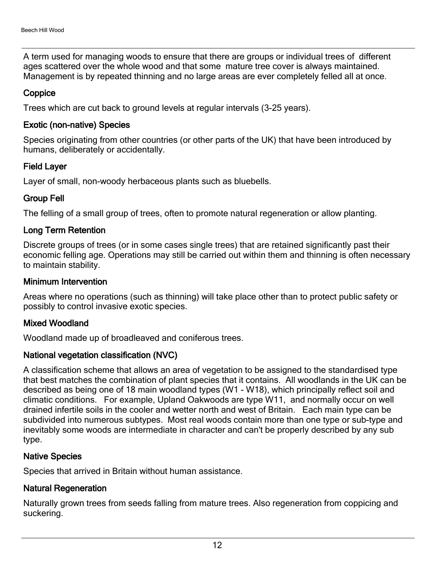A term used for managing woods to ensure that there are groups or individual trees of different ages scattered over the whole wood and that some mature tree cover is always maintained. Management is by repeated thinning and no large areas are ever completely felled all at once.

## **Coppice**

Trees which are cut back to ground levels at regular intervals (3-25 years).

## Exotic (non-native) Species

Species originating from other countries (or other parts of the UK) that have been introduced by humans, deliberately or accidentally.

## Field Layer

Layer of small, non-woody herbaceous plants such as bluebells.

## Group Fell

The felling of a small group of trees, often to promote natural regeneration or allow planting.

# Long Term Retention

Discrete groups of trees (or in some cases single trees) that are retained significantly past their economic felling age. Operations may still be carried out within them and thinning is often necessary to maintain stability.

## Minimum Intervention

Areas where no operations (such as thinning) will take place other than to protect public safety or possibly to control invasive exotic species.

## Mixed Woodland

Woodland made up of broadleaved and coniferous trees.

## National vegetation classification (NVC)

A classification scheme that allows an area of vegetation to be assigned to the standardised type that best matches the combination of plant species that it contains. All woodlands in the UK can be described as being one of 18 main woodland types (W1 - W18), which principally reflect soil and climatic conditions. For example, Upland Oakwoods are type W11, and normally occur on well drained infertile soils in the cooler and wetter north and west of Britain. Each main type can be subdivided into numerous subtypes. Most real woods contain more than one type or sub-type and inevitably some woods are intermediate in character and can't be properly described by any sub type.

## Native Species

Species that arrived in Britain without human assistance.

# Natural Regeneration

Naturally grown trees from seeds falling from mature trees. Also regeneration from coppicing and suckering.